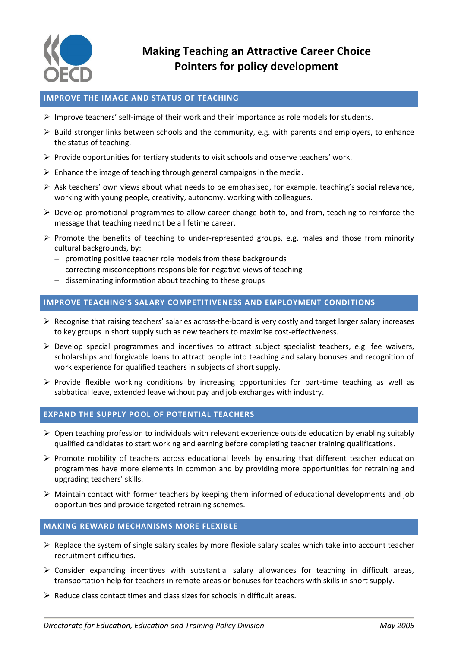

# **Making Teaching an Attractive Career Choice Pointers for policy development**

# **IMPROVE THE IMAGE AND STATUS OF TEACHING**

- $\triangleright$  Improve teachers' self-image of their work and their importance as role models for students.
- $\triangleright$  Build stronger links between schools and the community, e.g. with parents and employers, to enhance the status of teaching.
- $\triangleright$  Provide opportunities for tertiary students to visit schools and observe teachers' work.
- $\triangleright$  Enhance the image of teaching through general campaigns in the media.
- $\triangleright$  Ask teachers' own views about what needs to be emphasised, for example, teaching's social relevance, working with young people, creativity, autonomy, working with colleagues.
- $\triangleright$  Develop promotional programmes to allow career change both to, and from, teaching to reinforce the message that teaching need not be a lifetime career.
- $\triangleright$  Promote the benefits of teaching to under-represented groups, e.g. males and those from minority cultural backgrounds, by:
	- promoting positive teacher role models from these backgrounds
	- $-$  correcting misconceptions responsible for negative views of teaching
	- disseminating information about teaching to these groups

## **IMPROVE TEACHING'S SALARY COMPETITIVENESS AND EMPLOYMENT CONDITIONS**

- $\triangleright$  Recognise that raising teachers' salaries across-the-board is very costly and target larger salary increases to key groups in short supply such as new teachers to maximise cost-effectiveness.
- $\triangleright$  Develop special programmes and incentives to attract subject specialist teachers, e.g. fee waivers, scholarships and forgivable loans to attract people into teaching and salary bonuses and recognition of work experience for qualified teachers in subjects of short supply.
- $\triangleright$  Provide flexible working conditions by increasing opportunities for part-time teaching as well as sabbatical leave, extended leave without pay and job exchanges with industry.

# **EXPAND THE SUPPLY POOL OF POTENTIAL TEACHERS**

- $\triangleright$  Open teaching profession to individuals with relevant experience outside education by enabling suitably qualified candidates to start working and earning before completing teacher training qualifications.
- $\triangleright$  Promote mobility of teachers across educational levels by ensuring that different teacher education programmes have more elements in common and by providing more opportunities for retraining and upgrading teachers' skills.
- $\triangleright$  Maintain contact with former teachers by keeping them informed of educational developments and job opportunities and provide targeted retraining schemes.

# **MAKING REWARD MECHANISMS MORE FLEXIBLE**

- $\triangleright$  Replace the system of single salary scales by more flexible salary scales which take into account teacher recruitment difficulties.
- $\triangleright$  Consider expanding incentives with substantial salary allowances for teaching in difficult areas, transportation help for teachers in remote areas or bonuses for teachers with skills in short supply.
- $\triangleright$  Reduce class contact times and class sizes for schools in difficult areas.